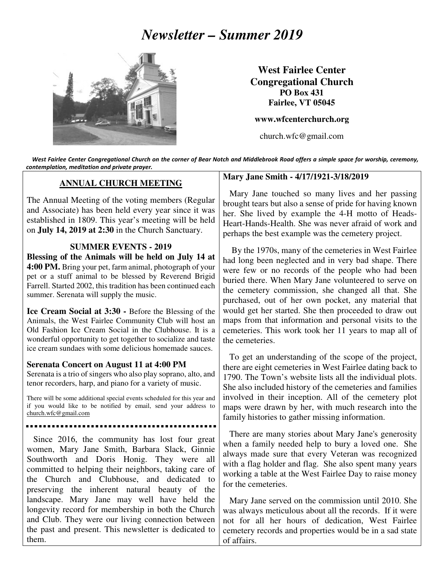# *Newsletter – Summer 2019*



**West Fairlee Center Congregational Church PO Box 431 Fairlee, VT 05045** 

**www.wfcenterchurch.org** 

church.wfc@gmail.com

 West Fairlee Center Congregational Church on the corner of Bear Notch and Middlebrook Road offers a simple space for worship, ceremony, contemplation, meditation and private prayer.

## **ANNUAL CHURCH MEETING**

The Annual Meeting of the voting members (Regular and Associate) has been held every year since it was established in 1809. This year's meeting will be held on **July 14, 2019 at 2:30** in the Church Sanctuary.

#### **SUMMER EVENTS - 2019**

**Blessing of the Animals will be held on July 14 at 4:00 PM.** Bring your pet, farm animal, photograph of your pet or a stuff animal to be blessed by Reverend Brigid Farrell. Started 2002, this tradition has been continued each summer. Serenata will supply the music.

**Ice Cream Social at 3:30 -** Before the Blessing of the Animals, the West Fairlee Community Club will host an Old Fashion Ice Cream Social in the Clubhouse. It is a wonderful opportunity to get together to socialize and taste ice cream sundaes with some delicious homemade sauces.

### **Serenata Concert on August 11 at 4:00 PM**

Serenata is a trio of singers who also play soprano, alto, and tenor recorders, harp, and piano for a variety of music.

There will be some additional special events scheduled for this year and if you would like to be notified by email, send your address to church.wfc@gmail.com

 Since 2016, the community has lost four great women, Mary Jane Smith, Barbara Slack, Ginnie Southworth and Doris Honig. They were all committed to helping their neighbors, taking care of the Church and Clubhouse, and dedicated to preserving the inherent natural beauty of the landscape. Mary Jane may well have held the longevity record for membership in both the Church and Club. They were our living connection between the past and present. This newsletter is dedicated to them.

#### **Mary Jane Smith - 4/17/1921-3/18/2019**

 Mary Jane touched so many lives and her passing brought tears but also a sense of pride for having known her. She lived by example the 4-H motto of Heads-Heart-Hands-Health. She was never afraid of work and perhaps the best example was the cemetery project.

 By the 1970s, many of the cemeteries in West Fairlee had long been neglected and in very bad shape. There were few or no records of the people who had been buried there. When Mary Jane volunteered to serve on the cemetery commission, she changed all that. She purchased, out of her own pocket, any material that would get her started. She then proceeded to draw out maps from that information and personal visits to the cemeteries. This work took her 11 years to map all of the cemeteries.

 To get an understanding of the scope of the project, there are eight cemeteries in West Fairlee dating back to 1790. The Town's website lists all the individual plots. She also included history of the cemeteries and families involved in their inception. All of the cemetery plot maps were drawn by her, with much research into the family histories to gather missing information.

 There are many stories about Mary Jane's generosity when a family needed help to bury a loved one. She always made sure that every Veteran was recognized with a flag holder and flag. She also spent many years working a table at the West Fairlee Day to raise money for the cemeteries.

 Mary Jane served on the commission until 2010. She was always meticulous about all the records. If it were not for all her hours of dedication, West Fairlee cemetery records and properties would be in a sad state of affairs.